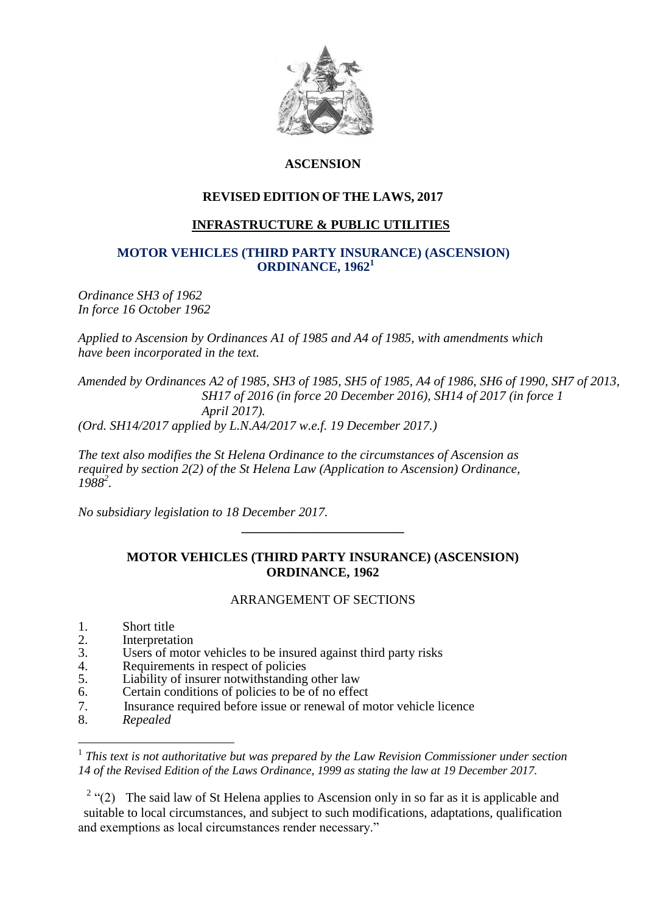

## **ASCENSION**

# **REVISED EDITION OF THE LAWS, 2017**

## **INFRASTRUCTURE & PUBLIC UTILITIES**

### **MOTOR VEHICLES (THIRD PARTY INSURANCE) (ASCENSION) ORDINANCE, 1962<sup>1</sup>**

*Ordinance SH3 of 1962 In force 16 October 1962*

*Applied to Ascension by Ordinances A1 of 1985 and A4 of 1985, with amendments which have been incorporated in the text.*

*Amended by Ordinances A2 of 1985, SH3 of 1985, SH5 of 1985, A4 of 1986, SH6 of 1990, SH7 of 2013, SH17 of 2016 (in force 20 December 2016), SH14 of 2017 (in force 1 April 2017).*

*(Ord. SH14/2017 applied by L.N.A4/2017 w.e.f. 19 December 2017.)*

*The text also modifies the St Helena Ordinance to the circumstances of Ascension as required by section 2(2) of the St Helena Law (Application to Ascension) Ordinance, 1988<sup>2</sup> .*

*No subsidiary legislation to 18 December 2017.*

## **MOTOR VEHICLES (THIRD PARTY INSURANCE) (ASCENSION) ORDINANCE, 1962**

**\_\_\_\_\_\_\_\_\_\_\_\_\_\_\_\_\_\_\_\_\_\_\_\_\_**

#### ARRANGEMENT OF SECTIONS

- 1. Short title<br>2 Interpretat
- 2. Interpretation<br>3. Users of moto
- Users of motor vehicles to be insured against third party risks
- 4. Requirements in respect of policies
- 5. Liability of insurer notwithstanding other law
- 6. Certain conditions of policies to be of no effect
- 7. Insurance required before issue or renewal of motor vehicle licence
- 8. *Repealed*

1

<sup>1</sup> This text is not authoritative but was prepared by the Law Revision Commissioner under section *14 of the Revised Edition of the Laws Ordinance, 1999 as stating the law at 19 December 2017.*

<sup>2</sup> "(2) The said law of St Helena applies to Ascension only in so far as it is applicable and suitable to local circumstances, and subject to such modifications, adaptations, qualification and exemptions as local circumstances render necessary."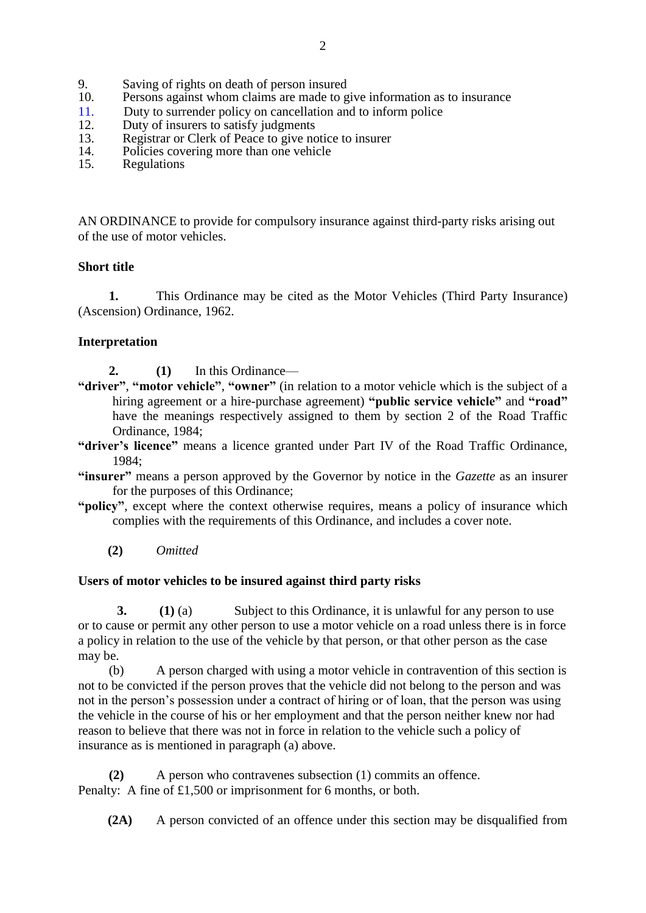- 9. Saving of rights on death of person insured<br>10. Persons against whom claims are made to g
- Persons against whom claims are made to give information as to insurance
- 11. Duty to surrender policy on cancellation and to inform police
- 12. Duty of insurers to satisfy judgments<br>13. Registrar or Clerk of Peace to give no
- 13. Registrar or Clerk of Peace to give notice to insurer<br>14. Policies covering more than one vehicle
- 14. Policies covering more than one vehicle<br>15. Regulations
- **Regulations**

AN ORDINANCE to provide for compulsory insurance against third-party risks arising out of the use of motor vehicles.

## **Short title**

**1.** This Ordinance may be cited as the Motor Vehicles (Third Party Insurance) (Ascension) Ordinance, 1962.

## **Interpretation**

- **2. (1)** In this Ordinance—
- **"driver"**, **"motor vehicle"**, **"owner"** (in relation to a motor vehicle which is the subject of a hiring agreement or a hire-purchase agreement) **"public service vehicle"** and **"road"** have the meanings respectively assigned to them by section 2 of the Road Traffic Ordinance, 1984;
- **"driver's licence"** means a licence granted under Part IV of the Road Traffic Ordinance, 1984;
- **"insurer"** means a person approved by the Governor by notice in the *Gazette* as an insurer for the purposes of this Ordinance;
- **"policy"**, except where the context otherwise requires, means a policy of insurance which complies with the requirements of this Ordinance, and includes a cover note.

**(2)** *Omitted*

#### **Users of motor vehicles to be insured against third party risks**

**3. (1)** (a) Subject to this Ordinance, it is unlawful for any person to use or to cause or permit any other person to use a motor vehicle on a road unless there is in force a policy in relation to the use of the vehicle by that person, or that other person as the case may be.

(b) A person charged with using a motor vehicle in contravention of this section is not to be convicted if the person proves that the vehicle did not belong to the person and was not in the person's possession under a contract of hiring or of loan, that the person was using the vehicle in the course of his or her employment and that the person neither knew nor had reason to believe that there was not in force in relation to the vehicle such a policy of insurance as is mentioned in paragraph (a) above.

**(2)** A person who contravenes subsection (1) commits an offence. Penalty: A fine of £1,500 or imprisonment for 6 months, or both.

**(2A)** A person convicted of an offence under this section may be disqualified from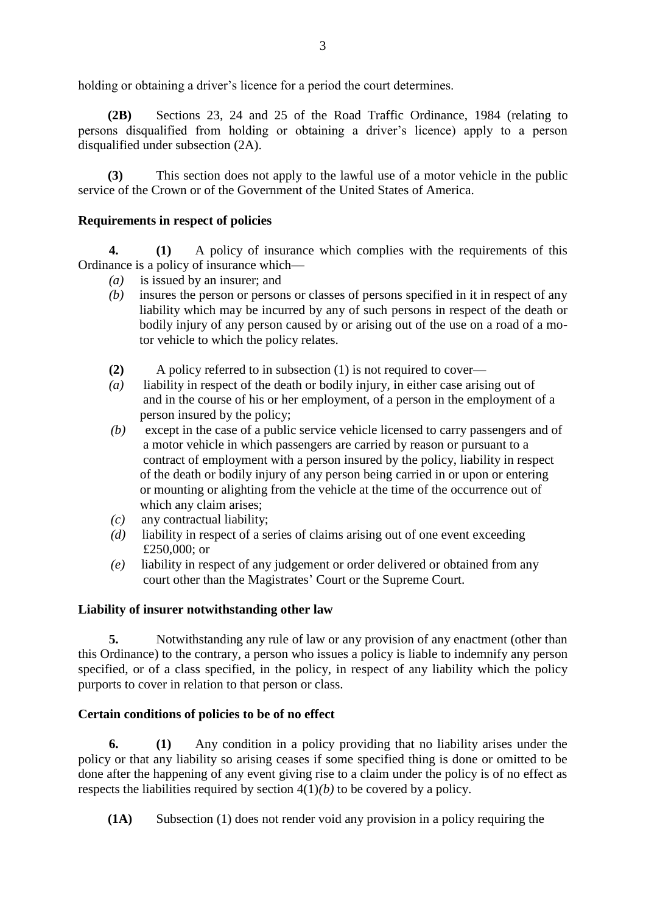holding or obtaining a driver's licence for a period the court determines.

**(2B)** Sections 23, 24 and 25 of the Road Traffic Ordinance, 1984 (relating to persons disqualified from holding or obtaining a driver's licence) apply to a person disqualified under subsection (2A).

**(3)** This section does not apply to the lawful use of a motor vehicle in the public service of the Crown or of the Government of the United States of America.

## **Requirements in respect of policies**

**4. (1)** A policy of insurance which complies with the requirements of this Ordinance is a policy of insurance which—

- *(a)* is issued by an insurer; and
- *(b)* insures the person or persons or classes of persons specified in it in respect of any liability which may be incurred by any of such persons in respect of the death or bodily injury of any person caused by or arising out of the use on a road of a motor vehicle to which the policy relates.
- **(2)** A policy referred to in subsection (1) is not required to cover—
- *(a)* liability in respect of the death or bodily injury, in either case arising out of and in the course of his or her employment, of a person in the employment of a person insured by the policy;
- *(b)* except in the case of a public service vehicle licensed to carry passengers and of a motor vehicle in which passengers are carried by reason or pursuant to a contract of employment with a person insured by the policy, liability in respect of the death or bodily injury of any person being carried in or upon or entering or mounting or alighting from the vehicle at the time of the occurrence out of which any claim arises;
- *(c)* any contractual liability;
- *(d)* liability in respect of a series of claims arising out of one event exceeding £250,000; or
- *(e)* liability in respect of any judgement or order delivered or obtained from any court other than the Magistrates' Court or the Supreme Court.

#### **Liability of insurer notwithstanding other law**

**5.** Notwithstanding any rule of law or any provision of any enactment (other than this Ordinance) to the contrary, a person who issues a policy is liable to indemnify any person specified, or of a class specified, in the policy, in respect of any liability which the policy purports to cover in relation to that person or class.

#### **Certain conditions of policies to be of no effect**

**6. (1)** Any condition in a policy providing that no liability arises under the policy or that any liability so arising ceases if some specified thing is done or omitted to be done after the happening of any event giving rise to a claim under the policy is of no effect as respects the liabilities required by section  $4(1)(b)$  to be covered by a policy.

**(1A)** Subsection (1) does not render void any provision in a policy requiring the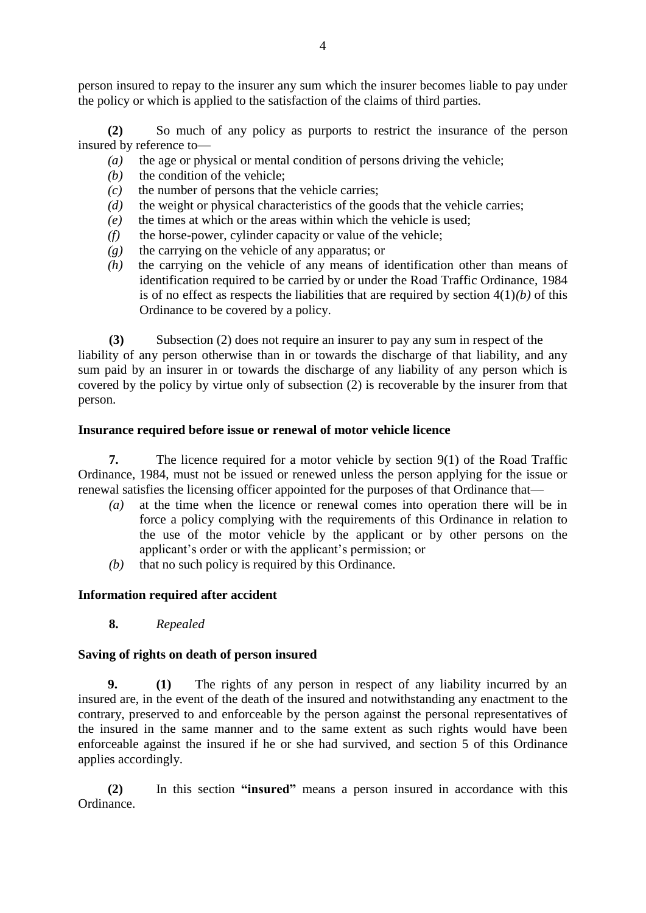person insured to repay to the insurer any sum which the insurer becomes liable to pay under the policy or which is applied to the satisfaction of the claims of third parties.

**(2)** So much of any policy as purports to restrict the insurance of the person insured by reference to—

- *(a)* the age or physical or mental condition of persons driving the vehicle;
- *(b)* the condition of the vehicle;
- *(c)* the number of persons that the vehicle carries;
- *(d)* the weight or physical characteristics of the goods that the vehicle carries;
- *(e)* the times at which or the areas within which the vehicle is used;
- $(f)$  the horse-power, cylinder capacity or value of the vehicle;
- *(g)* the carrying on the vehicle of any apparatus; or
- *(h)* the carrying on the vehicle of any means of identification other than means of identification required to be carried by or under the Road Traffic Ordinance, 1984 is of no effect as respects the liabilities that are required by section  $4(1)(b)$  of this Ordinance to be covered by a policy.

**(3)** Subsection (2) does not require an insurer to pay any sum in respect of the liability of any person otherwise than in or towards the discharge of that liability, and any sum paid by an insurer in or towards the discharge of any liability of any person which is covered by the policy by virtue only of subsection (2) is recoverable by the insurer from that person.

## **Insurance required before issue or renewal of motor vehicle licence**

**7.** The licence required for a motor vehicle by section 9(1) of the Road Traffic Ordinance, 1984, must not be issued or renewed unless the person applying for the issue or renewal satisfies the licensing officer appointed for the purposes of that Ordinance that—

- *(a)* at the time when the licence or renewal comes into operation there will be in force a policy complying with the requirements of this Ordinance in relation to the use of the motor vehicle by the applicant or by other persons on the applicant's order or with the applicant's permission; or
- *(b)* that no such policy is required by this Ordinance.

## **Information required after accident**

**8.** *Repealed*

## **Saving of rights on death of person insured**

**9. (1)** The rights of any person in respect of any liability incurred by an insured are, in the event of the death of the insured and notwithstanding any enactment to the contrary, preserved to and enforceable by the person against the personal representatives of the insured in the same manner and to the same extent as such rights would have been enforceable against the insured if he or she had survived, and section 5 of this Ordinance applies accordingly.

**(2)** In this section **"insured"** means a person insured in accordance with this Ordinance.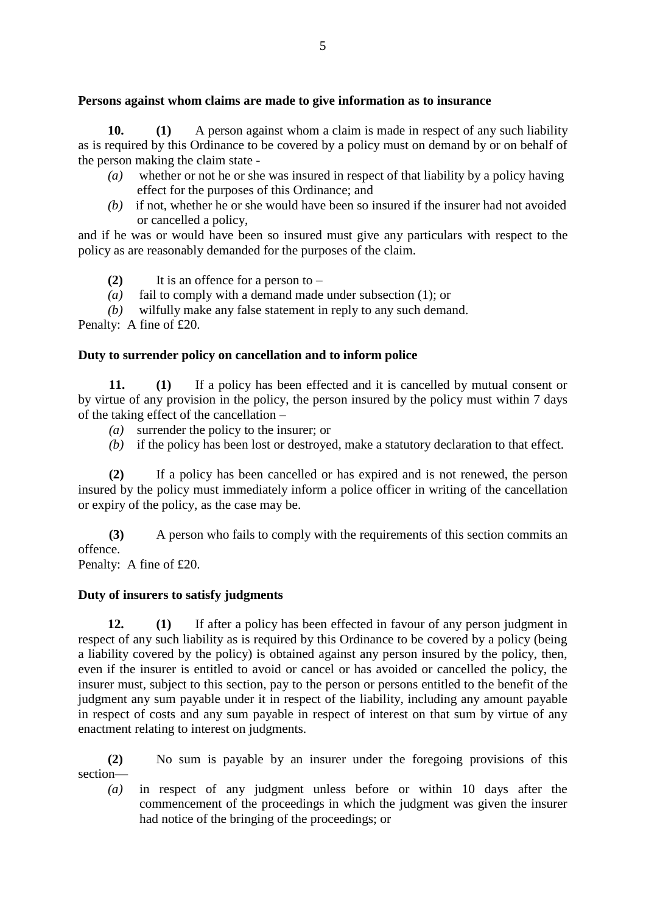## **Persons against whom claims are made to give information as to insurance**

**10. (1)** A person against whom a claim is made in respect of any such liability as is required by this Ordinance to be covered by a policy must on demand by or on behalf of the person making the claim state -

- *(a)* whether or not he or she was insured in respect of that liability by a policy having effect for the purposes of this Ordinance; and
- *(b)* if not, whether he or she would have been so insured if the insurer had not avoided or cancelled a policy,

and if he was or would have been so insured must give any particulars with respect to the policy as are reasonably demanded for the purposes of the claim.

**(2)** It is an offence for a person to –

*(a)* fail to comply with a demand made under subsection (1); or

*(b)* wilfully make any false statement in reply to any such demand.

Penalty: A fine of £20.

## **Duty to surrender policy on cancellation and to inform police**

**11. (1)** If a policy has been effected and it is cancelled by mutual consent or by virtue of any provision in the policy, the person insured by the policy must within 7 days of the taking effect of the cancellation –

- *(a)* surrender the policy to the insurer; or
- *(b)* if the policy has been lost or destroyed, make a statutory declaration to that effect.

**(2)** If a policy has been cancelled or has expired and is not renewed, the person insured by the policy must immediately inform a police officer in writing of the cancellation or expiry of the policy, as the case may be.

**(3)** A person who fails to comply with the requirements of this section commits an offence.

Penalty: A fine of £20.

#### **Duty of insurers to satisfy judgments**

**12. (1)** If after a policy has been effected in favour of any person judgment in respect of any such liability as is required by this Ordinance to be covered by a policy (being a liability covered by the policy) is obtained against any person insured by the policy, then, even if the insurer is entitled to avoid or cancel or has avoided or cancelled the policy, the insurer must, subject to this section, pay to the person or persons entitled to the benefit of the judgment any sum payable under it in respect of the liability, including any amount payable in respect of costs and any sum payable in respect of interest on that sum by virtue of any enactment relating to interest on judgments.

**(2)** No sum is payable by an insurer under the foregoing provisions of this section—

*(a)* in respect of any judgment unless before or within 10 days after the commencement of the proceedings in which the judgment was given the insurer had notice of the bringing of the proceedings; or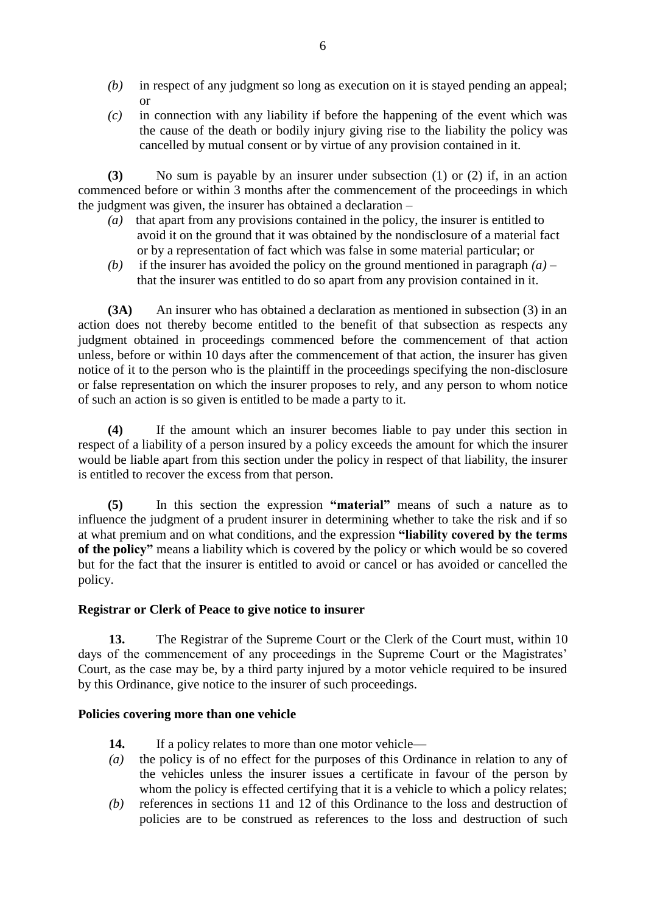- *(b)* in respect of any judgment so long as execution on it is stayed pending an appeal; or
- *(c)* in connection with any liability if before the happening of the event which was the cause of the death or bodily injury giving rise to the liability the policy was cancelled by mutual consent or by virtue of any provision contained in it.

**(3)** No sum is payable by an insurer under subsection (1) or (2) if, in an action commenced before or within 3 months after the commencement of the proceedings in which the judgment was given, the insurer has obtained a declaration –

- *(a)* that apart from any provisions contained in the policy, the insurer is entitled to avoid it on the ground that it was obtained by the nondisclosure of a material fact or by a representation of fact which was false in some material particular; or
- *(b)* if the insurer has avoided the policy on the ground mentioned in paragraph  $(a)$  that the insurer was entitled to do so apart from any provision contained in it.

**(3A)** An insurer who has obtained a declaration as mentioned in subsection (3) in an action does not thereby become entitled to the benefit of that subsection as respects any judgment obtained in proceedings commenced before the commencement of that action unless, before or within 10 days after the commencement of that action, the insurer has given notice of it to the person who is the plaintiff in the proceedings specifying the non-disclosure or false representation on which the insurer proposes to rely, and any person to whom notice of such an action is so given is entitled to be made a party to it.

**(4)** If the amount which an insurer becomes liable to pay under this section in respect of a liability of a person insured by a policy exceeds the amount for which the insurer would be liable apart from this section under the policy in respect of that liability, the insurer is entitled to recover the excess from that person.

**(5)** In this section the expression **"material"** means of such a nature as to influence the judgment of a prudent insurer in determining whether to take the risk and if so at what premium and on what conditions, and the expression **"liability covered by the terms of the policy"** means a liability which is covered by the policy or which would be so covered but for the fact that the insurer is entitled to avoid or cancel or has avoided or cancelled the policy.

#### **Registrar or Clerk of Peace to give notice to insurer**

**13.** The Registrar of the Supreme Court or the Clerk of the Court must, within 10 days of the commencement of any proceedings in the Supreme Court or the Magistrates' Court, as the case may be, by a third party injured by a motor vehicle required to be insured by this Ordinance, give notice to the insurer of such proceedings.

#### **Policies covering more than one vehicle**

- 14. If a policy relates to more than one motor vehicle—
- *(a)* the policy is of no effect for the purposes of this Ordinance in relation to any of the vehicles unless the insurer issues a certificate in favour of the person by whom the policy is effected certifying that it is a vehicle to which a policy relates;
- *(b)* references in sections 11 and 12 of this Ordinance to the loss and destruction of policies are to be construed as references to the loss and destruction of such